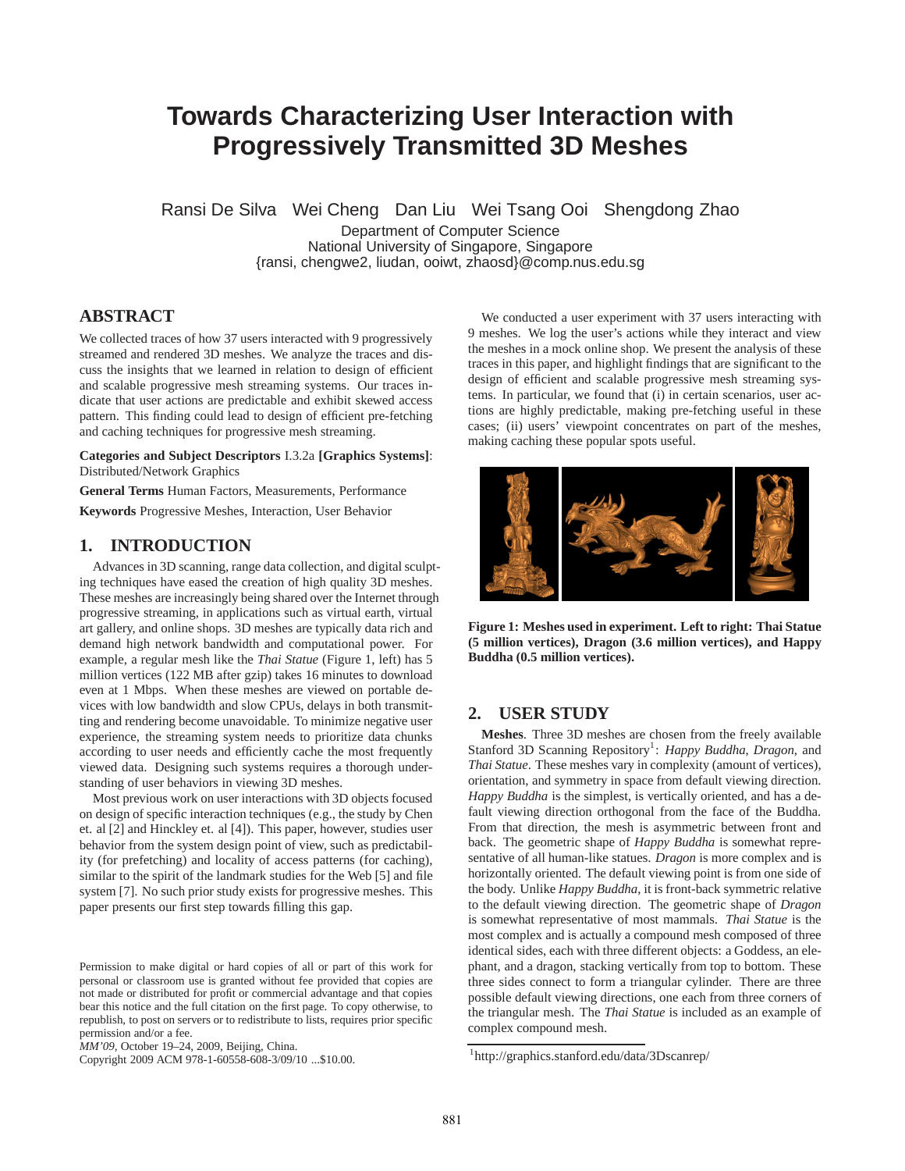# **Towards Characterizing User Interaction with Progressively Transmitted 3D Meshes**

Ransi De Silva Wei Cheng Dan Liu Wei Tsang Ooi Shengdong Zhao

Department of Computer Science National University of Singapore, Singapore {ransi, chengwe2, liudan, ooiwt, zhaosd}@comp.nus.edu.sg

# **ABSTRACT**

We collected traces of how 37 users interacted with 9 progressively streamed and rendered 3D meshes. We analyze the traces and discuss the insights that we learned in relation to design of efficient and scalable progressive mesh streaming systems. Our traces indicate that user actions are predictable and exhibit skewed access pattern. This finding could lead to design of efficient pre-fetching and caching techniques for progressive mesh streaming.

**Categories and Subject Descriptors** I.3.2a **[Graphics Systems]**: Distributed/Network Graphics

**General Terms** Human Factors, Measurements, Performance

**Keywords** Progressive Meshes, Interaction, User Behavior

### **1. INTRODUCTION**

Advances in 3D scanning, range data collection, and digital sculpting techniques have eased the creation of high quality 3D meshes. These meshes are increasingly being shared over the Internet through progressive streaming, in applications such as virtual earth, virtual art gallery, and online shops. 3D meshes are typically data rich and demand high network bandwidth and computational power. For example, a regular mesh like the *Thai Statue* (Figure 1, left) has 5 million vertices (122 MB after gzip) takes 16 minutes to download even at 1 Mbps. When these meshes are viewed on portable devices with low bandwidth and slow CPUs, delays in both transmitting and rendering become unavoidable. To minimize negative user experience, the streaming system needs to prioritize data chunks according to user needs and efficiently cache the most frequently viewed data. Designing such systems requires a thorough understanding of user behaviors in viewing 3D meshes.

Most previous work on user interactions with 3D objects focused on design of specific interaction techniques (e.g., the study by Chen et. al [2] and Hinckley et. al [4]). This paper, however, studies user behavior from the system design point of view, such as predictability (for prefetching) and locality of access patterns (for caching), similar to the spirit of the landmark studies for the Web [5] and file system [7]. No such prior study exists for progressive meshes. This paper presents our first step towards filling this gap.

Copyright 2009 ACM 978-1-60558-608-3/09/10 ...\$10.00.

We conducted a user experiment with 37 users interacting with 9 meshes. We log the user's actions while they interact and view the meshes in a mock online shop. We present the analysis of these traces in this paper, and highlight findings that are significant to the design of efficient and scalable progressive mesh streaming systems. In particular, we found that (i) in certain scenarios, user actions are highly predictable, making pre-fetching useful in these cases; (ii) users' viewpoint concentrates on part of the meshes, making caching these popular spots useful.



**Figure 1: Meshes used in experiment. Left to right: Thai Statue (5 million vertices), Dragon (3.6 million vertices), and Happy Buddha (0.5 million vertices).**

#### **2. USER STUDY**

**Meshes**. Three 3D meshes are chosen from the freely available Stanford 3D Scanning Repository<sup>1</sup>: Happy Buddha, Dragon, and *Thai Statue*. These meshes vary in complexity (amount of vertices), orientation, and symmetry in space from default viewing direction. *Happy Buddha* is the simplest, is vertically oriented, and has a default viewing direction orthogonal from the face of the Buddha. From that direction, the mesh is asymmetric between front and back. The geometric shape of *Happy Buddha* is somewhat representative of all human-like statues. *Dragon* is more complex and is horizontally oriented. The default viewing point is from one side of the body. Unlike *Happy Buddha*, it is front-back symmetric relative to the default viewing direction. The geometric shape of *Dragon* is somewhat representative of most mammals. *Thai Statue* is the most complex and is actually a compound mesh composed of three identical sides, each with three different objects: a Goddess, an elephant, and a dragon, stacking vertically from top to bottom. These three sides connect to form a triangular cylinder. There are three possible default viewing directions, one each from three corners of the triangular mesh. The *Thai Statue* is included as an example of complex compound mesh.

Permission to make digital or hard copies of all or part of this work for personal or classroom use is granted without fee provided that copies are not made or distributed for profit or commercial advantage and that copies bear this notice and the full citation on the first page. To copy otherwise, to republish, to post on servers or to redistribute to lists, requires prior specific permission and/or a fee.

*MM'09,* October 19–24, 2009, Beijing, China.

<sup>1</sup> http://graphics.stanford.edu/data/3Dscanrep/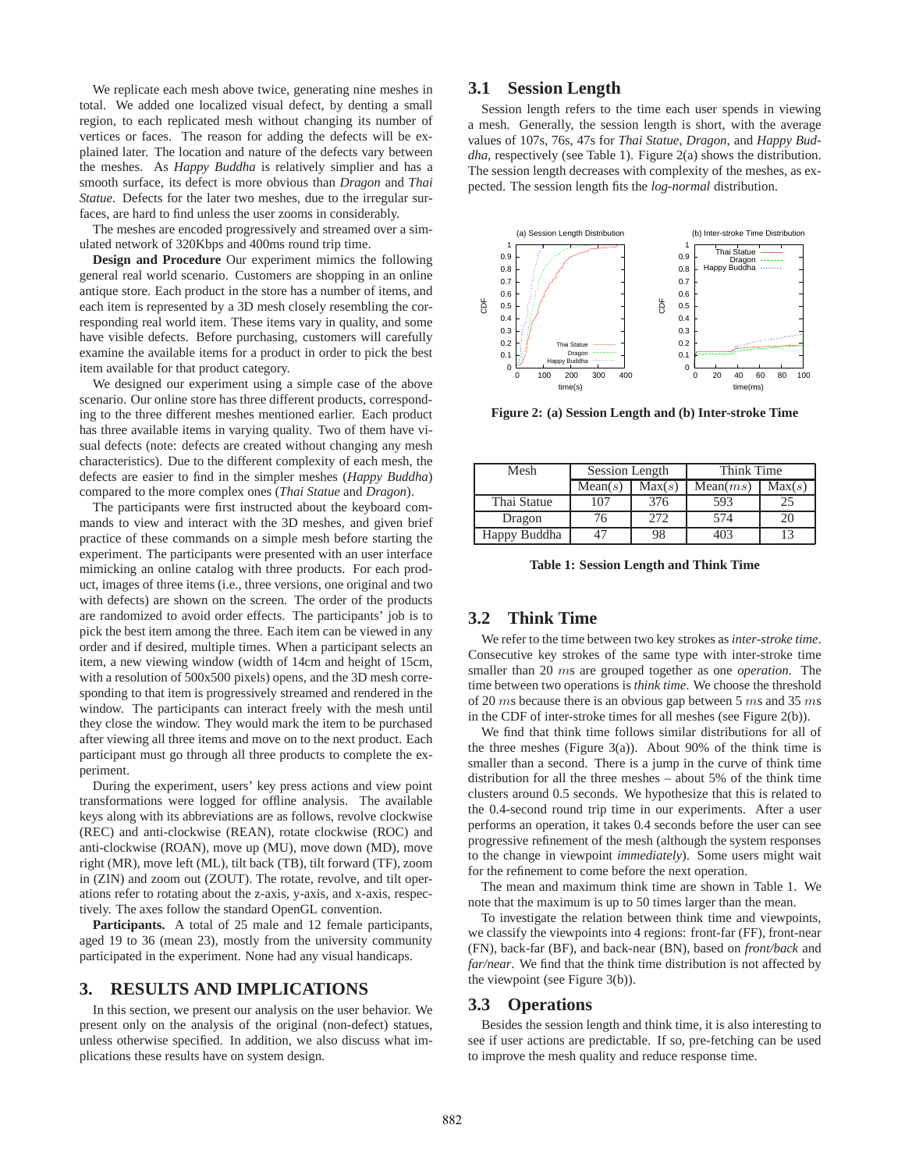We replicate each mesh above twice, generating nine meshes in total. We added one localized visual defect, by denting a small region, to each replicated mesh without changing its number of vertices or faces. The reason for adding the defects will be explained later. The location and nature of the defects vary between the meshes. As *Happy Buddha* is relatively simplier and has a smooth surface, its defect is more obvious than *Dragon* and *Thai Statue*. Defects for the later two meshes, due to the irregular surfaces, are hard to find unless the user zooms in considerably.

The meshes are encoded progressively and streamed over a simulated network of 320Kbps and 400ms round trip time.

**Design and Procedure** Our experiment mimics the following general real world scenario. Customers are shopping in an online antique store. Each product in the store has a number of items, and each item is represented by a 3D mesh closely resembling the corresponding real world item. These items vary in quality, and some have visible defects. Before purchasing, customers will carefully examine the available items for a product in order to pick the best item available for that product category.

We designed our experiment using a simple case of the above scenario. Our online store has three different products, corresponding to the three different meshes mentioned earlier. Each product has three available items in varying quality. Two of them have visual defects (note: defects are created without changing any mesh characteristics). Due to the different complexity of each mesh, the defects are easier to find in the simpler meshes (*Happy Buddha*) compared to the more complex ones (*Thai Statue* and *Dragon*).

The participants were first instructed about the keyboard commands to view and interact with the 3D meshes, and given brief practice of these commands on a simple mesh before starting the experiment. The participants were presented with an user interface mimicking an online catalog with three products. For each product, images of three items (i.e., three versions, one original and two with defects) are shown on the screen. The order of the products are randomized to avoid order effects. The participants' job is to pick the best item among the three. Each item can be viewed in any order and if desired, multiple times. When a participant selects an item, a new viewing window (width of 14cm and height of 15cm, with a resolution of  $500x500$  pixels) opens, and the 3D mesh corresponding to that item is progressively streamed and rendered in the window. The participants can interact freely with the mesh until they close the window. They would mark the item to be purchased after viewing all three items and move on to the next product. Each participant must go through all three products to complete the experiment.

During the experiment, users' key press actions and view point transformations were logged for offline analysis. The available keys along with its abbreviations are as follows, revolve clockwise (REC) and anti-clockwise (REAN), rotate clockwise (ROC) and anti-clockwise (ROAN), move up (MU), move down (MD), move right (MR), move left (ML), tilt back (TB), tilt forward (TF), zoom in (ZIN) and zoom out (ZOUT). The rotate, revolve, and tilt operations refer to rotating about the z-axis, y-axis, and x-axis, respectively. The axes follow the standard OpenGL convention.

Participants. A total of 25 male and 12 female participants, aged 19 to 36 (mean 23), mostly from the university community participated in the experiment. None had any visual handicaps.

#### **3. RESULTS AND IMPLICATIONS**

In this section, we present our analysis on the user behavior. We present only on the analysis of the original (non-defect) statues, unless otherwise specified. In addition, we also discuss what implications these results have on system design.

#### **3.1 Session Length**

Session length refers to the time each user spends in viewing a mesh. Generally, the session length is short, with the average values of 107s, 76s, 47s for *Thai Statue*, *Dragon*, and *Happy Buddha*, respectively (see Table 1). Figure 2(a) shows the distribution. The session length decreases with complexity of the meshes, as expected. The session length fits the *log-normal* distribution.



**Figure 2: (a) Session Length and (b) Inter-stroke Time**

| Mesh         | Session Length |        | Think Time |        |
|--------------|----------------|--------|------------|--------|
|              | Mean(s)        | Max(s) | Mean(ms)   | Max(s) |
| Thai Statue  | 107            | 376    | 593        |        |
| Dragon       | 76             | 272    | 574        |        |
| Happy Buddha | 47             | 98     | 403        |        |

**Table 1: Session Length and Think Time**

#### **3.2 Think Time**

We refer to the time between two key strokes as *inter-stroke time*. Consecutive key strokes of the same type with inter-stroke time smaller than 20 *m*s are grouped together as one *operation*. The time between two operations is *think time*. We choose the threshold of 20 *m*s because there is an obvious gap between 5 *m*s and 35 *m*s in the CDF of inter-stroke times for all meshes (see Figure 2(b)).

We find that think time follows similar distributions for all of the three meshes (Figure 3(a)). About 90% of the think time is smaller than a second. There is a jump in the curve of think time distribution for all the three meshes – about 5% of the think time clusters around 0.5 seconds. We hypothesize that this is related to the 0.4-second round trip time in our experiments. After a user performs an operation, it takes 0.4 seconds before the user can see progressive refinement of the mesh (although the system responses to the change in viewpoint *immediately*). Some users might wait for the refinement to come before the next operation.

The mean and maximum think time are shown in Table 1. We note that the maximum is up to 50 times larger than the mean.

To investigate the relation between think time and viewpoints, we classify the viewpoints into 4 regions: front-far (FF), front-near (FN), back-far (BF), and back-near (BN), based on *front/back* and *far/near*. We find that the think time distribution is not affected by the viewpoint (see Figure 3(b)).

#### **3.3 Operations**

Besides the session length and think time, it is also interesting to see if user actions are predictable. If so, pre-fetching can be used to improve the mesh quality and reduce response time.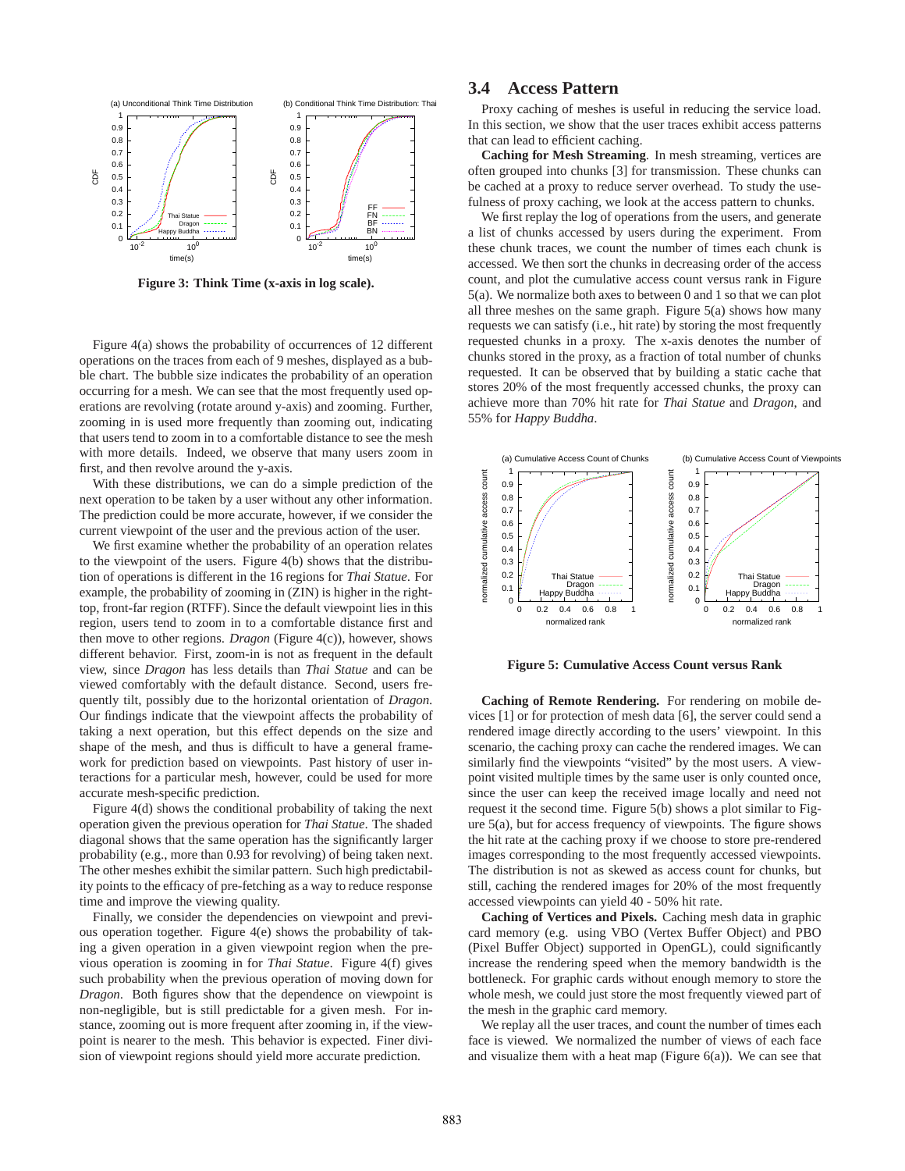

**Figure 3: Think Time (x-axis in log scale).**

Figure 4(a) shows the probability of occurrences of 12 different operations on the traces from each of 9 meshes, displayed as a bubble chart. The bubble size indicates the probability of an operation occurring for a mesh. We can see that the most frequently used operations are revolving (rotate around y-axis) and zooming. Further, zooming in is used more frequently than zooming out, indicating that users tend to zoom in to a comfortable distance to see the mesh with more details. Indeed, we observe that many users zoom in first, and then revolve around the y-axis.

With these distributions, we can do a simple prediction of the next operation to be taken by a user without any other information. The prediction could be more accurate, however, if we consider the current viewpoint of the user and the previous action of the user.

We first examine whether the probability of an operation relates to the viewpoint of the users. Figure 4(b) shows that the distribution of operations is different in the 16 regions for *Thai Statue*. For example, the probability of zooming in (ZIN) is higher in the righttop, front-far region (RTFF). Since the default viewpoint lies in this region, users tend to zoom in to a comfortable distance first and then move to other regions. *Dragon* (Figure 4(c)), however, shows different behavior. First, zoom-in is not as frequent in the default view, since *Dragon* has less details than *Thai Statue* and can be viewed comfortably with the default distance. Second, users frequently tilt, possibly due to the horizontal orientation of *Dragon*. Our findings indicate that the viewpoint affects the probability of taking a next operation, but this effect depends on the size and shape of the mesh, and thus is difficult to have a general framework for prediction based on viewpoints. Past history of user interactions for a particular mesh, however, could be used for more accurate mesh-specific prediction.

Figure 4(d) shows the conditional probability of taking the next operation given the previous operation for *Thai Statue*. The shaded diagonal shows that the same operation has the significantly larger probability (e.g., more than 0.93 for revolving) of being taken next. The other meshes exhibit the similar pattern. Such high predictability points to the efficacy of pre-fetching as a way to reduce response time and improve the viewing quality.

Finally, we consider the dependencies on viewpoint and previous operation together. Figure 4(e) shows the probability of taking a given operation in a given viewpoint region when the previous operation is zooming in for *Thai Statue*. Figure 4(f) gives such probability when the previous operation of moving down for *Dragon*. Both figures show that the dependence on viewpoint is non-negligible, but is still predictable for a given mesh. For instance, zooming out is more frequent after zooming in, if the viewpoint is nearer to the mesh. This behavior is expected. Finer division of viewpoint regions should yield more accurate prediction.

## **3.4 Access Pattern**

Proxy caching of meshes is useful in reducing the service load. In this section, we show that the user traces exhibit access patterns that can lead to efficient caching.

**Caching for Mesh Streaming**. In mesh streaming, vertices are often grouped into chunks [3] for transmission. These chunks can be cached at a proxy to reduce server overhead. To study the usefulness of proxy caching, we look at the access pattern to chunks.

We first replay the log of operations from the users, and generate a list of chunks accessed by users during the experiment. From these chunk traces, we count the number of times each chunk is accessed. We then sort the chunks in decreasing order of the access count, and plot the cumulative access count versus rank in Figure 5(a). We normalize both axes to between 0 and 1 so that we can plot all three meshes on the same graph. Figure 5(a) shows how many requests we can satisfy (i.e., hit rate) by storing the most frequently requested chunks in a proxy. The x-axis denotes the number of chunks stored in the proxy, as a fraction of total number of chunks requested. It can be observed that by building a static cache that stores 20% of the most frequently accessed chunks, the proxy can achieve more than 70% hit rate for *Thai Statue* and *Dragon*, and 55% for *Happy Buddha*.



**Figure 5: Cumulative Access Count versus Rank**

**Caching of Remote Rendering.** For rendering on mobile devices [1] or for protection of mesh data [6], the server could send a rendered image directly according to the users' viewpoint. In this scenario, the caching proxy can cache the rendered images. We can similarly find the viewpoints "visited" by the most users. A viewpoint visited multiple times by the same user is only counted once, since the user can keep the received image locally and need not request it the second time. Figure 5(b) shows a plot similar to Figure 5(a), but for access frequency of viewpoints. The figure shows the hit rate at the caching proxy if we choose to store pre-rendered images corresponding to the most frequently accessed viewpoints. The distribution is not as skewed as access count for chunks, but still, caching the rendered images for 20% of the most frequently accessed viewpoints can yield 40 - 50% hit rate.

**Caching of Vertices and Pixels.** Caching mesh data in graphic card memory (e.g. using VBO (Vertex Buffer Object) and PBO (Pixel Buffer Object) supported in OpenGL), could significantly increase the rendering speed when the memory bandwidth is the bottleneck. For graphic cards without enough memory to store the whole mesh, we could just store the most frequently viewed part of the mesh in the graphic card memory.

We replay all the user traces, and count the number of times each face is viewed. We normalized the number of views of each face and visualize them with a heat map (Figure  $6(a)$ ). We can see that